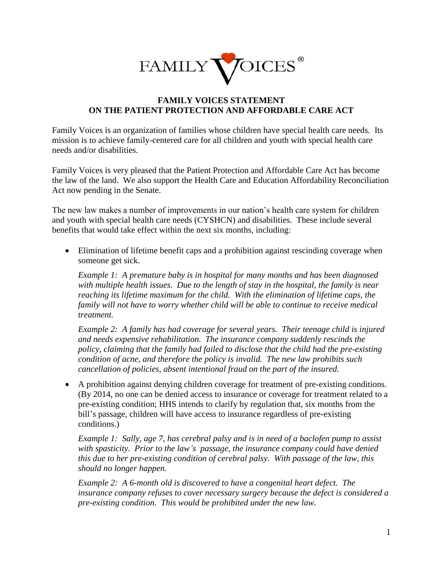

## **FAMILY VOICES STATEMENT ON THE PATIENT PROTECTION AND AFFORDABLE CARE ACT**

Family Voices is an organization of families whose children have special health care needs. Its mission is to achieve family-centered care for all children and youth with special health care needs and/or disabilities.

Family Voices is very pleased that the Patient Protection and Affordable Care Act has become the law of the land. We also support the Health Care and Education Affordability Reconciliation Act now pending in the Senate.

The new law makes a number of improvements in our nation's health care system for children and youth with special health care needs (CYSHCN) and disabilities. These include several benefits that would take effect within the next six months, including:

 Elimination of lifetime benefit caps and a prohibition against rescinding coverage when someone get sick.

*Example 1: A premature baby is in hospital for many months and has been diagnosed with multiple health issues. Due to the length of stay in the hospital, the family is near reaching its lifetime maximum for the child. With the elimination of lifetime caps, the family will not have to worry whether child will be able to continue to receive medical treatment.*

*Example 2: A family has had coverage for several years. Their teenage child is injured and needs expensive rehabilitation. The insurance company suddenly rescinds the policy, claiming that the family had failed to disclose that the child had the pre-existing condition of acne, and therefore the policy is invalid. The new law prohibits such cancellation of policies, absent intentional fraud on the part of the insured.* 

 A prohibition against denying children coverage for treatment of pre-existing conditions. (By 2014, no one can be denied access to insurance or coverage for treatment related to a pre-existing condition; HHS intends to clarify by regulation that, six months from the bill's passage, children will have access to insurance regardless of pre-existing conditions.)

*Example 1: Sally, age 7, has cerebral palsy and is in need of a baclofen pump to assist with spasticity. Prior to the law's passage, the insurance company could have denied this due to her pre-existing condition of cerebral palsy. With passage of the law, this should no longer happen.*

*Example 2: A 6-month old is discovered to have a congenital heart defect. The insurance company refuses to cover necessary surgery because the defect is considered a pre-existing condition. This would be prohibited under the new law.*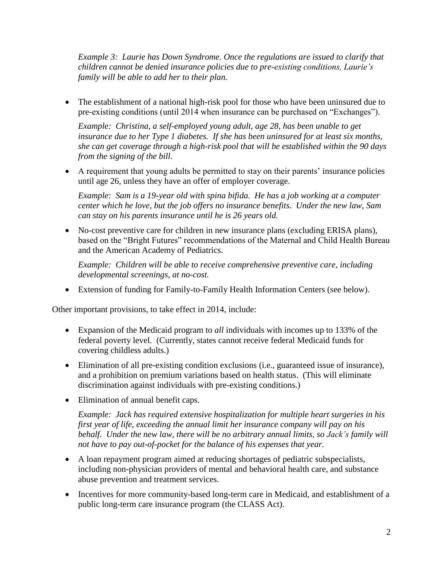*Example 3: Laurie has Down Syndrome. Once the regulations are issued to clarify that children cannot be denied insurance policies due to pre-existing conditions, Laurie's family will be able to add her to their plan.* 

• The establishment of a national high-risk pool for those who have been uninsured due to pre-existing conditions (until 2014 when insurance can be purchased on "Exchanges").

*Example: Christina, a self-employed young adult, age 28, has been unable to get insurance due to her Type 1 diabetes. If she has been uninsured for at least six months, she can get coverage through a high-risk pool that will be established within the 90 days from the signing of the bill.*

 A requirement that young adults be permitted to stay on their parents' insurance policies until age 26, unless they have an offer of employer coverage.

*Example: Sam is a 19-year old with spina bifida. He has a job working at a computer center which he love, but the job offers no insurance benefits. Under the new law, Sam can stay on his parents insurance until he is 26 years old.* 

 No-cost preventive care for children in new insurance plans (excluding ERISA plans), based on the "Bright Futures" recommendations of the Maternal and Child Health Bureau and the American Academy of Pediatrics.

*Example: Children will be able to receive comprehensive preventive care, including developmental screenings, at no-cost.* 

Extension of funding for Family-to-Family Health Information Centers (see below).

Other important provisions, to take effect in 2014, include:

- Expansion of the Medicaid program to *all* individuals with incomes up to 133% of the federal poverty level. (Currently, states cannot receive federal Medicaid funds for covering childless adults.)
- Elimination of all pre-existing condition exclusions (i.e., guaranteed issue of insurance), and a prohibition on premium variations based on health status. (This will eliminate discrimination against individuals with pre-existing conditions.)
- Elimination of annual benefit caps.

*Example: Jack has required extensive hospitalization for multiple heart surgeries in his first year of life, exceeding the annual limit her insurance company will pay on his behalf. Under the new law, there will be no arbitrary annual limits, so Jack's family will not have to pay out-of-pocket for the balance of his expenses that year.* 

- A loan repayment program aimed at reducing shortages of pediatric subspecialists, including non-physician providers of mental and behavioral health care, and substance abuse prevention and treatment services.
- Incentives for more community-based long-term care in Medicaid, and establishment of a public long-term care insurance program (the CLASS Act).